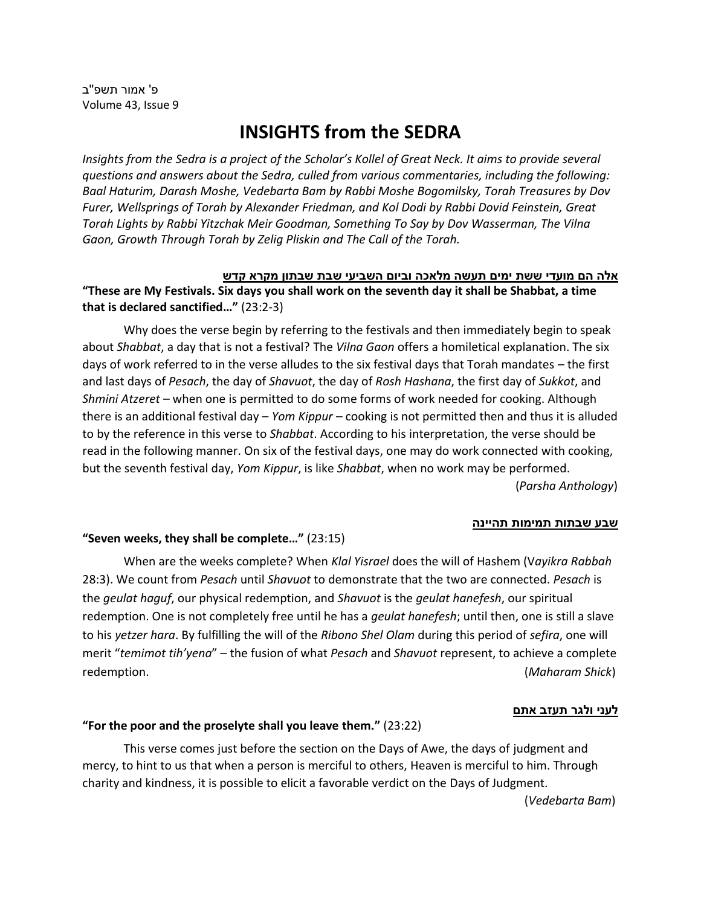פ' אמור תשפ''ב Volume 43, Issue 9

# **INSIGHTS from the SEDRA**

*Insights from the Sedra is a project of the Scholar's Kollel of Great Neck. It aims to provide several questions and answers about the Sedra, culled from various commentaries, including the following: Baal Haturim, Darash Moshe, Vedebarta Bam by Rabbi Moshe Bogomilsky, Torah Treasures by Dov Furer, Wellsprings of Torah by Alexander Friedman, and Kol Dodi by Rabbi Dovid Feinstein, Great Torah Lights by Rabbi Yitzchak Meir Goodman, Something To Say by Dov Wasserman, The Vilna Gaon, Growth Through Torah by Zelig Pliskin and The Call of the Torah.*

<u>אלה הם מועדי ששת ימים תעשה מלאכה וביום השביעי שבת שבתון מקרא קדש</u> **"These are My Festivals. Six days you shall work on the seventh day it shall be Shabbat, a time that is declared sanctified…"** (23:2-3)

Why does the verse begin by referring to the festivals and then immediately begin to speak about *Shabbat*, a day that is not a festival? The *Vilna Gaon* offers a homiletical explanation. The six days of work referred to in the verse alludes to the six festival days that Torah mandates – the first and last days of *Pesach*, the day of *Shavuot*, the day of *Rosh Hashana*, the first day of *Sukkot*, and *Shmini Atzeret* – when one is permitted to do some forms of work needed for cooking. Although there is an additional festival day – *Yom Kippur* – cooking is not permitted then and thus it is alluded to by the reference in this verse to *Shabbat*. According to his interpretation, the verse should be read in the following manner. On six of the festival days, one may do work connected with cooking, but the seventh festival day, *Yom Kippur*, is like *Shabbat*, when no work may be performed. (*Parsha Anthology*)

#### **שבע שבתות תמימות תהיינה**

## **"Seven weeks, they shall be complete…"** (23:15)

When are the weeks complete? When *Klal Yisrael* does the will of Hashem (V*ayikra Rabbah* 28:3). We count from *Pesach* until *Shavuot* to demonstrate that the two are connected. *Pesach* is the *geulat haguf*, our physical redemption, and *Shavuot* is the *geulat hanefesh*, our spiritual redemption. One is not completely free until he has a *geulat hanefesh*; until then, one is still a slave to his *yetzer hara*. By fulfilling the will of the *Ribono Shel Olam* during this period of *sefira*, one will merit "*temimot tih'yena*" – the fusion of what *Pesach* and *Shavuot* represent, to achieve a complete redemption. (*Maharam Shick*)

#### **לעני ולגר תעזב אתם**

#### **"For the poor and the proselyte shall you leave them."** (23:22)

This verse comes just before the section on the Days of Awe, the days of judgment and mercy, to hint to us that when a person is merciful to others, Heaven is merciful to him. Through charity and kindness, it is possible to elicit a favorable verdict on the Days of Judgment.

(*Vedebarta Bam*)